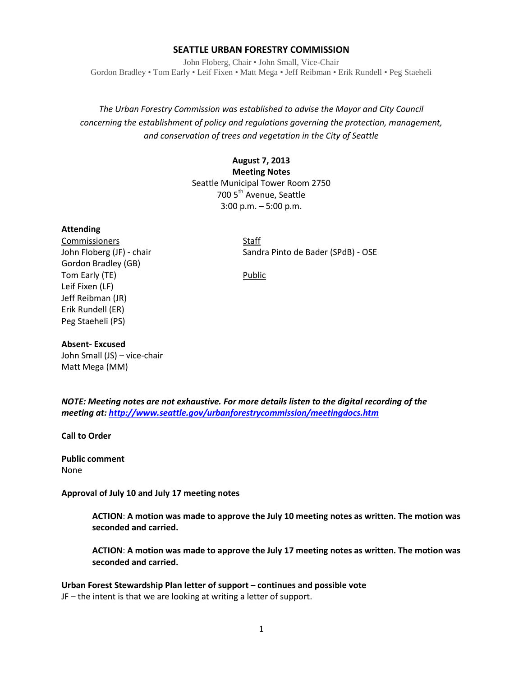#### **SEATTLE URBAN FORESTRY COMMISSION**

John Floberg, Chair • John Small, Vice-Chair Gordon Bradley • Tom Early • Leif Fixen • Matt Mega • Jeff Reibman • Erik Rundell • Peg Staeheli

## *The Urban Forestry Commission was established to advise the Mayor and City Council concerning the establishment of policy and regulations governing the protection, management, and conservation of trees and vegetation in the City of Seattle*

## **August 7, 2013 Meeting Notes** Seattle Municipal Tower Room 2750 700 5<sup>th</sup> Avenue, Seattle 3:00 p.m. – 5:00 p.m.

#### **Attending**

Commissioners Staff Gordon Bradley (GB) Tom Early (TE) and the control of the Public Public Leif Fixen (LF) Jeff Reibman (JR) Erik Rundell (ER) Peg Staeheli (PS)

John Floberg (JF) - chair Sandra Pinto de Bader (SPdB) - OSE

# **Absent- Excused**

John Small (JS) – vice-chair Matt Mega (MM)

*NOTE: Meeting notes are not exhaustive. For more details listen to the digital recording of the meeting at[: http://www.seattle.gov/urbanforestrycommission/meetingdocs.htm](http://www.seattle.gov/urbanforestrycommission/meetingdocs.htm)*

**Call to Order**

**Public comment** None

**Approval of July 10 and July 17 meeting notes**

**ACTION**: **A motion was made to approve the July 10 meeting notes as written. The motion was seconded and carried.** 

**ACTION**: **A motion was made to approve the July 17 meeting notes as written. The motion was seconded and carried.** 

**Urban Forest Stewardship Plan letter of support – continues and possible vote** JF – the intent is that we are looking at writing a letter of support.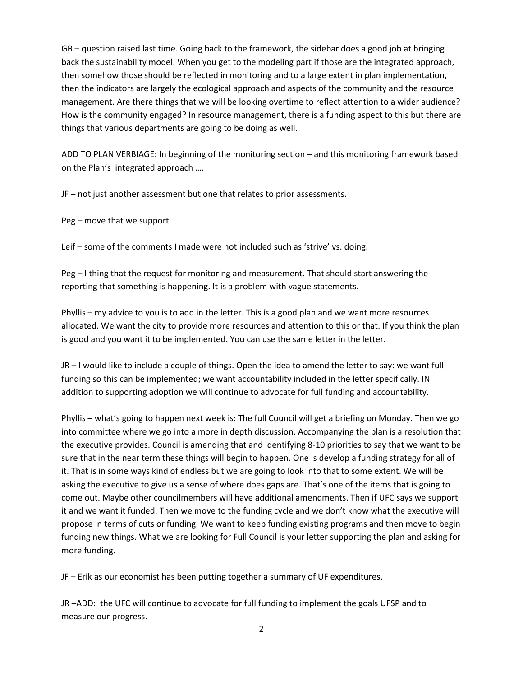GB – question raised last time. Going back to the framework, the sidebar does a good job at bringing back the sustainability model. When you get to the modeling part if those are the integrated approach, then somehow those should be reflected in monitoring and to a large extent in plan implementation, then the indicators are largely the ecological approach and aspects of the community and the resource management. Are there things that we will be looking overtime to reflect attention to a wider audience? How is the community engaged? In resource management, there is a funding aspect to this but there are things that various departments are going to be doing as well.

ADD TO PLAN VERBIAGE: In beginning of the monitoring section – and this monitoring framework based on the Plan's integrated approach ….

JF – not just another assessment but one that relates to prior assessments.

Peg – move that we support

Leif – some of the comments I made were not included such as 'strive' vs. doing.

Peg – I thing that the request for monitoring and measurement. That should start answering the reporting that something is happening. It is a problem with vague statements.

Phyllis – my advice to you is to add in the letter. This is a good plan and we want more resources allocated. We want the city to provide more resources and attention to this or that. If you think the plan is good and you want it to be implemented. You can use the same letter in the letter.

JR – I would like to include a couple of things. Open the idea to amend the letter to say: we want full funding so this can be implemented; we want accountability included in the letter specifically. IN addition to supporting adoption we will continue to advocate for full funding and accountability.

Phyllis – what's going to happen next week is: The full Council will get a briefing on Monday. Then we go into committee where we go into a more in depth discussion. Accompanying the plan is a resolution that the executive provides. Council is amending that and identifying 8-10 priorities to say that we want to be sure that in the near term these things will begin to happen. One is develop a funding strategy for all of it. That is in some ways kind of endless but we are going to look into that to some extent. We will be asking the executive to give us a sense of where does gaps are. That's one of the items that is going to come out. Maybe other councilmembers will have additional amendments. Then if UFC says we support it and we want it funded. Then we move to the funding cycle and we don't know what the executive will propose in terms of cuts or funding. We want to keep funding existing programs and then move to begin funding new things. What we are looking for Full Council is your letter supporting the plan and asking for more funding.

JF – Erik as our economist has been putting together a summary of UF expenditures.

JR –ADD: the UFC will continue to advocate for full funding to implement the goals UFSP and to measure our progress.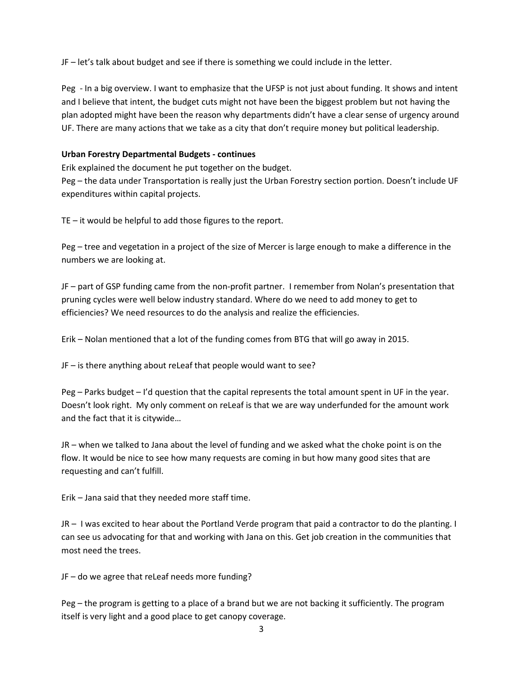JF – let's talk about budget and see if there is something we could include in the letter.

Peg - In a big overview. I want to emphasize that the UFSP is not just about funding. It shows and intent and I believe that intent, the budget cuts might not have been the biggest problem but not having the plan adopted might have been the reason why departments didn't have a clear sense of urgency around UF. There are many actions that we take as a city that don't require money but political leadership.

### **Urban Forestry Departmental Budgets - continues**

Erik explained the document he put together on the budget.

Peg – the data under Transportation is really just the Urban Forestry section portion. Doesn't include UF expenditures within capital projects.

TE – it would be helpful to add those figures to the report.

Peg – tree and vegetation in a project of the size of Mercer is large enough to make a difference in the numbers we are looking at.

JF – part of GSP funding came from the non-profit partner. I remember from Nolan's presentation that pruning cycles were well below industry standard. Where do we need to add money to get to efficiencies? We need resources to do the analysis and realize the efficiencies.

Erik – Nolan mentioned that a lot of the funding comes from BTG that will go away in 2015.

JF – is there anything about reLeaf that people would want to see?

Peg – Parks budget – I'd question that the capital represents the total amount spent in UF in the year. Doesn't look right. My only comment on reLeaf is that we are way underfunded for the amount work and the fact that it is citywide…

JR – when we talked to Jana about the level of funding and we asked what the choke point is on the flow. It would be nice to see how many requests are coming in but how many good sites that are requesting and can't fulfill.

Erik – Jana said that they needed more staff time.

JR – I was excited to hear about the Portland Verde program that paid a contractor to do the planting. I can see us advocating for that and working with Jana on this. Get job creation in the communities that most need the trees.

JF – do we agree that reLeaf needs more funding?

Peg – the program is getting to a place of a brand but we are not backing it sufficiently. The program itself is very light and a good place to get canopy coverage.